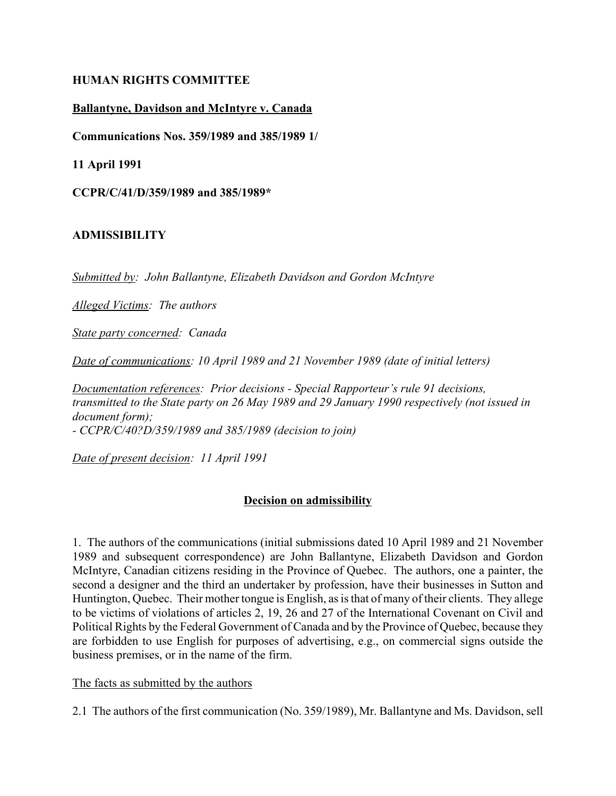#### **HUMAN RIGHTS COMMITTEE**

## **Ballantyne, Davidson and McIntyre v. Canada**

**Communications Nos. 359/1989 and 385/1989 1/**

**11 April 1991**

**CCPR/C/41/D/359/1989 and 385/1989\***

#### **ADMISSIBILITY**

*Submitted by: John Ballantyne, Elizabeth Davidson and Gordon McIntyre*

*Alleged Victims: The authors*

*State party concerned: Canada*

*Date of communications: 10 April 1989 and 21 November 1989 (date of initial letters)*

*Documentation references: Prior decisions - Special Rapporteur's rule 91 decisions, transmitted to the State party on 26 May 1989 and 29 January 1990 respectively (not issued in document form); - CCPR/C/40?D/359/1989 and 385/1989 (decision to join)*

*Date of present decision: 11 April 1991*

## **Decision on admissibility**

1. The authors of the communications (initial submissions dated 10 April 1989 and 21 November 1989 and subsequent correspondence) are John Ballantyne, Elizabeth Davidson and Gordon McIntyre, Canadian citizens residing in the Province of Quebec. The authors, one a painter, the second a designer and the third an undertaker by profession, have their businesses in Sutton and Huntington, Quebec. Their mother tongue is English, as is that of many of their clients. They allege to be victims of violations of articles 2, 19, 26 and 27 of the International Covenant on Civil and Political Rights by the Federal Government of Canada and by the Province of Quebec, because they are forbidden to use English for purposes of advertising, e.g., on commercial signs outside the business premises, or in the name of the firm.

#### The facts as submitted by the authors

2.1 The authors of the first communication (No. 359/1989), Mr. Ballantyne and Ms. Davidson, sell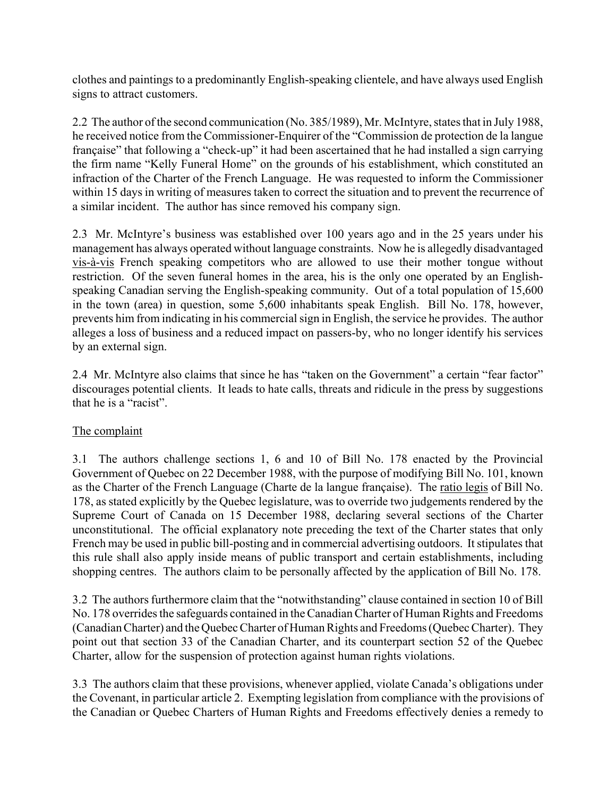clothes and paintings to a predominantly English-speaking clientele, and have always used English signs to attract customers.

2.2 The author of the second communication (No. 385/1989), Mr. McIntyre, states that in July 1988, he received notice from the Commissioner-Enquirer of the "Commission de protection de la langue française" that following a "check-up" it had been ascertained that he had installed a sign carrying the firm name "Kelly Funeral Home" on the grounds of his establishment, which constituted an infraction of the Charter of the French Language. He was requested to inform the Commissioner within 15 days in writing of measures taken to correct the situation and to prevent the recurrence of a similar incident. The author has since removed his company sign.

2.3 Mr. McIntyre's business was established over 100 years ago and in the 25 years under his management has always operated without language constraints. Now he is allegedly disadvantaged vis-à-vis French speaking competitors who are allowed to use their mother tongue without restriction. Of the seven funeral homes in the area, his is the only one operated by an Englishspeaking Canadian serving the English-speaking community. Out of a total population of 15,600 in the town (area) in question, some 5,600 inhabitants speak English. Bill No. 178, however, prevents him from indicating in his commercial sign in English, the service he provides. The author alleges a loss of business and a reduced impact on passers-by, who no longer identify his services by an external sign.

2.4 Mr. McIntyre also claims that since he has "taken on the Government" a certain "fear factor" discourages potential clients. It leads to hate calls, threats and ridicule in the press by suggestions that he is a "racist".

## The complaint

3.1 The authors challenge sections 1, 6 and 10 of Bill No. 178 enacted by the Provincial Government of Quebec on 22 December 1988, with the purpose of modifying Bill No. 101, known as the Charter of the French Language (Charte de la langue française). The ratio legis of Bill No. 178, as stated explicitly by the Quebec legislature, was to override two judgements rendered by the Supreme Court of Canada on 15 December 1988, declaring several sections of the Charter unconstitutional. The official explanatory note preceding the text of the Charter states that only French may be used in public bill-posting and in commercial advertising outdoors. It stipulates that this rule shall also apply inside means of public transport and certain establishments, including shopping centres. The authors claim to be personally affected by the application of Bill No. 178.

3.2 The authors furthermore claim that the "notwithstanding" clause contained in section 10 of Bill No. 178 overrides the safeguards contained in the Canadian Charter of Human Rights and Freedoms (Canadian Charter) and the Quebec Charter of Human Rights and Freedoms (Quebec Charter). They point out that section 33 of the Canadian Charter, and its counterpart section 52 of the Quebec Charter, allow for the suspension of protection against human rights violations.

3.3 The authors claim that these provisions, whenever applied, violate Canada's obligations under the Covenant, in particular article 2. Exempting legislation from compliance with the provisions of the Canadian or Quebec Charters of Human Rights and Freedoms effectively denies a remedy to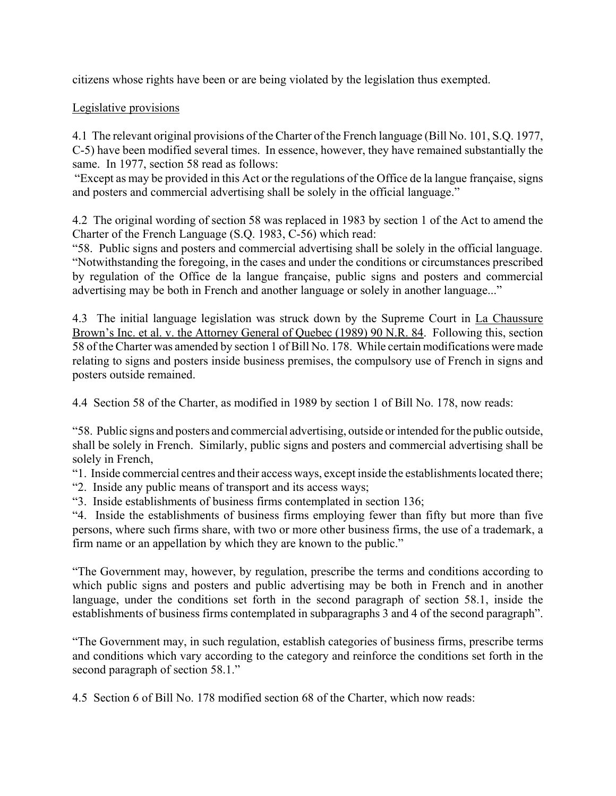citizens whose rights have been or are being violated by the legislation thus exempted.

## Legislative provisions

4.1 The relevant original provisions of the Charter of the French language (Bill No. 101, S.Q. 1977, C-5) have been modified several times. In essence, however, they have remained substantially the same. In 1977, section 58 read as follows:

Except as may be provided in this Act or the regulations of the Office de la langue française, signs and posters and commercial advertising shall be solely in the official language."

4.2 The original wording of section 58 was replaced in 1983 by section 1 of the Act to amend the Charter of the French Language (S.Q. 1983, C-56) which read:

ì58. Public signs and posters and commercial advertising shall be solely in the official language. ìNotwithstanding the foregoing, in the cases and under the conditions or circumstances prescribed by regulation of the Office de la langue française, public signs and posters and commercial advertising may be both in French and another language or solely in another language..."

4.3 The initial language legislation was struck down by the Supreme Court in La Chaussure Brown's Inc. et al. v. the Attorney General of Quebec (1989) 90 N.R. 84. Following this, section 58 of the Charter was amended by section 1 of Bill No. 178. While certain modifications were made relating to signs and posters inside business premises, the compulsory use of French in signs and posters outside remained.

4.4 Section 58 of the Charter, as modified in 1989 by section 1 of Bill No. 178, now reads:

ì58. Public signs and posters and commercial advertising, outside or intended for the public outside, shall be solely in French. Similarly, public signs and posters and commercial advertising shall be solely in French,

ì1. Inside commercial centres and their access ways, except inside the establishments located there;

ì2. Inside any public means of transport and its access ways;

ì3. Inside establishments of business firms contemplated in section 136;

ì4. Inside the establishments of business firms employing fewer than fifty but more than five persons, where such firms share, with two or more other business firms, the use of a trademark, a firm name or an appellation by which they are known to the public."

ìThe Government may, however, by regulation, prescribe the terms and conditions according to which public signs and posters and public advertising may be both in French and in another language, under the conditions set forth in the second paragraph of section 58.1, inside the establishments of business firms contemplated in subparagraphs 3 and 4 of the second paragraph<sup>"</sup>.

ìThe Government may, in such regulation, establish categories of business firms, prescribe terms and conditions which vary according to the category and reinforce the conditions set forth in the second paragraph of section 58.1.<sup>n</sup>

4.5 Section 6 of Bill No. 178 modified section 68 of the Charter, which now reads: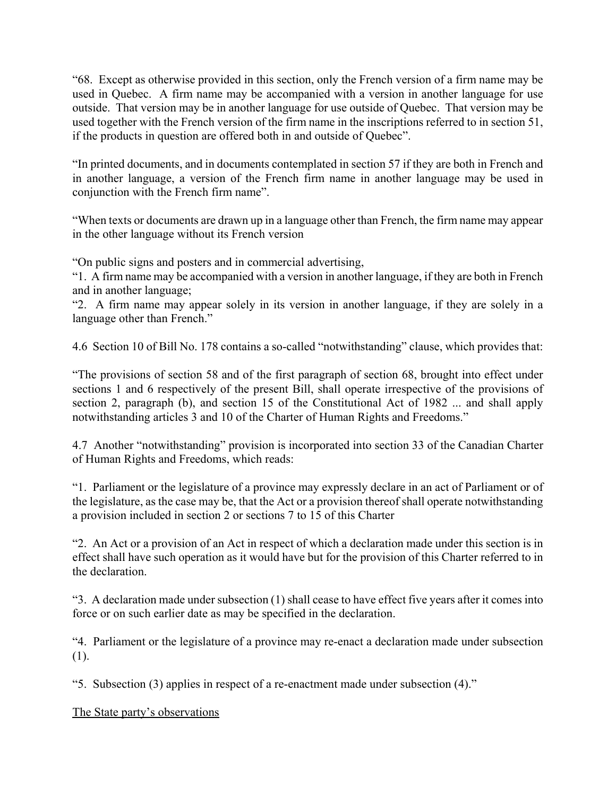ì68. Except as otherwise provided in this section, only the French version of a firm name may be used in Quebec. A firm name may be accompanied with a version in another language for use outside. That version may be in another language for use outside of Quebec. That version may be used together with the French version of the firm name in the inscriptions referred to in section 51, if the products in question are offered both in and outside of Quebec".

In printed documents, and in documents contemplated in section 57 if they are both in French and in another language, a version of the French firm name in another language may be used in conjunction with the French firm name".

ìWhen texts or documents are drawn up in a language other than French, the firm name may appear in the other language without its French version

ìOn public signs and posters and in commercial advertising,

ì1. A firm name may be accompanied with a version in another language, if they are both in French and in another language;

ì2. A firm name may appear solely in its version in another language, if they are solely in a language other than French."

4.6 Section 10 of Bill No. 178 contains a so-called "notwithstanding" clause, which provides that:

ìThe provisions of section 58 and of the first paragraph of section 68, brought into effect under sections 1 and 6 respectively of the present Bill, shall operate irrespective of the provisions of section 2, paragraph (b), and section 15 of the Constitutional Act of 1982 ... and shall apply notwithstanding articles 3 and 10 of the Charter of Human Rights and Freedoms.<sup>7</sup>

4.7 Another "notwithstanding" provision is incorporated into section 33 of the Canadian Charter of Human Rights and Freedoms, which reads:

ì1. Parliament or the legislature of a province may expressly declare in an act of Parliament or of the legislature, as the case may be, that the Act or a provision thereof shall operate notwithstanding a provision included in section 2 or sections 7 to 15 of this Charter

ì2. An Act or a provision of an Act in respect of which a declaration made under this section is in effect shall have such operation as it would have but for the provision of this Charter referred to in the declaration.

ì3. A declaration made under subsection (1) shall cease to have effect five years after it comes into force or on such earlier date as may be specified in the declaration.

ì4. Parliament or the legislature of a province may re-enact a declaration made under subsection (1).

 $\cdot$ 5. Subsection (3) applies in respect of a re-enactment made under subsection (4).<sup>n</sup>

The State party's observations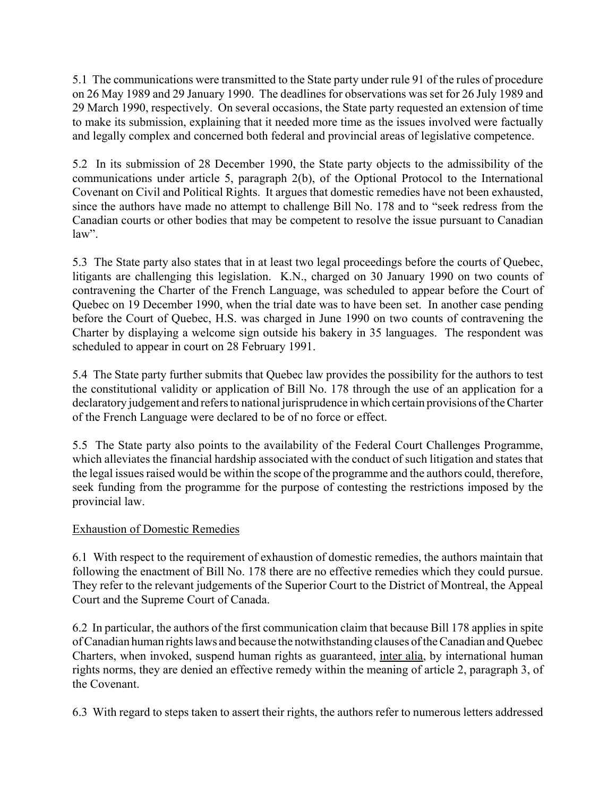5.1 The communications were transmitted to the State party under rule 91 of the rules of procedure on 26 May 1989 and 29 January 1990. The deadlines for observations was set for 26 July 1989 and 29 March 1990, respectively. On several occasions, the State party requested an extension of time to make its submission, explaining that it needed more time as the issues involved were factually and legally complex and concerned both federal and provincial areas of legislative competence.

5.2 In its submission of 28 December 1990, the State party objects to the admissibility of the communications under article 5, paragraph 2(b), of the Optional Protocol to the International Covenant on Civil and Political Rights. It argues that domestic remedies have not been exhausted, since the authors have made no attempt to challenge Bill No. 178 and to "seek redress from the Canadian courts or other bodies that may be competent to resolve the issue pursuant to Canadian law".

5.3 The State party also states that in at least two legal proceedings before the courts of Quebec, litigants are challenging this legislation. K.N., charged on 30 January 1990 on two counts of contravening the Charter of the French Language, was scheduled to appear before the Court of Quebec on 19 December 1990, when the trial date was to have been set. In another case pending before the Court of Quebec, H.S. was charged in June 1990 on two counts of contravening the Charter by displaying a welcome sign outside his bakery in 35 languages. The respondent was scheduled to appear in court on 28 February 1991.

5.4 The State party further submits that Quebec law provides the possibility for the authors to test the constitutional validity or application of Bill No. 178 through the use of an application for a declaratory judgement and refers to national jurisprudence in which certain provisions of the Charter of the French Language were declared to be of no force or effect.

5.5 The State party also points to the availability of the Federal Court Challenges Programme, which alleviates the financial hardship associated with the conduct of such litigation and states that the legal issues raised would be within the scope of the programme and the authors could, therefore, seek funding from the programme for the purpose of contesting the restrictions imposed by the provincial law.

## Exhaustion of Domestic Remedies

6.1 With respect to the requirement of exhaustion of domestic remedies, the authors maintain that following the enactment of Bill No. 178 there are no effective remedies which they could pursue. They refer to the relevant judgements of the Superior Court to the District of Montreal, the Appeal Court and the Supreme Court of Canada.

6.2 In particular, the authors of the first communication claim that because Bill 178 applies in spite of Canadian human rights laws and because the notwithstanding clauses of the Canadian and Quebec Charters, when invoked, suspend human rights as guaranteed, inter alia, by international human rights norms, they are denied an effective remedy within the meaning of article 2, paragraph 3, of the Covenant.

6.3 With regard to steps taken to assert their rights, the authors refer to numerous letters addressed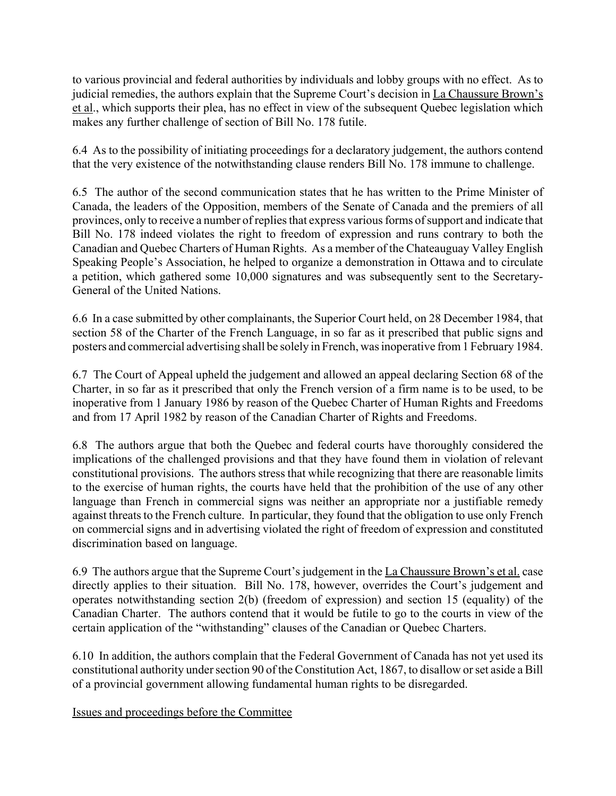to various provincial and federal authorities by individuals and lobby groups with no effect. As to judicial remedies, the authors explain that the Supreme Court's decision in La Chaussure Brown's et al., which supports their plea, has no effect in view of the subsequent Quebec legislation which makes any further challenge of section of Bill No. 178 futile.

6.4 As to the possibility of initiating proceedings for a declaratory judgement, the authors contend that the very existence of the notwithstanding clause renders Bill No. 178 immune to challenge.

6.5 The author of the second communication states that he has written to the Prime Minister of Canada, the leaders of the Opposition, members of the Senate of Canada and the premiers of all provinces, only to receive a number of replies that express various forms of support and indicate that Bill No. 178 indeed violates the right to freedom of expression and runs contrary to both the Canadian and Quebec Charters of Human Rights. As a member of the Chateauguay Valley English Speaking People's Association, he helped to organize a demonstration in Ottawa and to circulate a petition, which gathered some 10,000 signatures and was subsequently sent to the Secretary-General of the United Nations.

6.6 In a case submitted by other complainants, the Superior Court held, on 28 December 1984, that section 58 of the Charter of the French Language, in so far as it prescribed that public signs and posters and commercial advertising shall be solely in French, was inoperative from 1 February 1984.

6.7 The Court of Appeal upheld the judgement and allowed an appeal declaring Section 68 of the Charter, in so far as it prescribed that only the French version of a firm name is to be used, to be inoperative from 1 January 1986 by reason of the Quebec Charter of Human Rights and Freedoms and from 17 April 1982 by reason of the Canadian Charter of Rights and Freedoms.

6.8 The authors argue that both the Quebec and federal courts have thoroughly considered the implications of the challenged provisions and that they have found them in violation of relevant constitutional provisions. The authors stress that while recognizing that there are reasonable limits to the exercise of human rights, the courts have held that the prohibition of the use of any other language than French in commercial signs was neither an appropriate nor a justifiable remedy against threats to the French culture. In particular, they found that the obligation to use only French on commercial signs and in advertising violated the right of freedom of expression and constituted discrimination based on language.

6.9 The authors argue that the Supreme Court's judgement in the La Chaussure Brown's et al. case directly applies to their situation. Bill No. 178, however, overrides the Court's judgement and operates notwithstanding section 2(b) (freedom of expression) and section 15 (equality) of the Canadian Charter. The authors contend that it would be futile to go to the courts in view of the certain application of the "withstanding" clauses of the Canadian or Quebec Charters.

6.10 In addition, the authors complain that the Federal Government of Canada has not yet used its constitutional authority under section 90 of the Constitution Act, 1867, to disallow or set aside a Bill of a provincial government allowing fundamental human rights to be disregarded.

Issues and proceedings before the Committee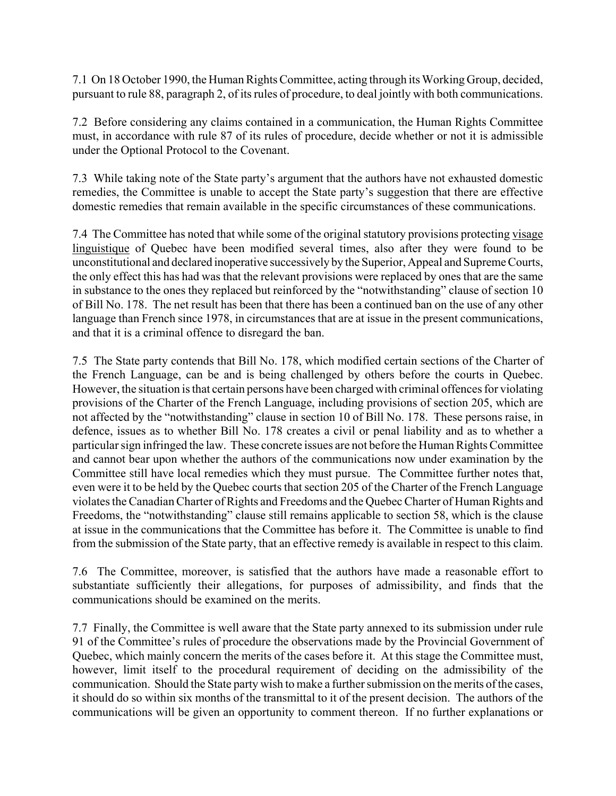7.1 On 18 October 1990, the Human Rights Committee, acting through its Working Group, decided, pursuant to rule 88, paragraph 2, of its rules of procedure, to deal jointly with both communications.

7.2 Before considering any claims contained in a communication, the Human Rights Committee must, in accordance with rule 87 of its rules of procedure, decide whether or not it is admissible under the Optional Protocol to the Covenant.

7.3 While taking note of the State party's argument that the authors have not exhausted domestic remedies, the Committee is unable to accept the State party's suggestion that there are effective domestic remedies that remain available in the specific circumstances of these communications.

7.4 The Committee has noted that while some of the original statutory provisions protecting visage linguistique of Quebec have been modified several times, also after they were found to be unconstitutional and declared inoperative successively by the Superior, Appeal and Supreme Courts, the only effect this has had was that the relevant provisions were replaced by ones that are the same in substance to the ones they replaced but reinforced by the "notwithstanding" clause of section 10 of Bill No. 178. The net result has been that there has been a continued ban on the use of any other language than French since 1978, in circumstances that are at issue in the present communications, and that it is a criminal offence to disregard the ban.

7.5 The State party contends that Bill No. 178, which modified certain sections of the Charter of the French Language, can be and is being challenged by others before the courts in Quebec. However, the situation is that certain persons have been charged with criminal offences for violating provisions of the Charter of the French Language, including provisions of section 205, which are not affected by the "notwithstanding" clause in section 10 of Bill No. 178. These persons raise, in defence, issues as to whether Bill No. 178 creates a civil or penal liability and as to whether a particular sign infringed the law. These concrete issues are not before the Human Rights Committee and cannot bear upon whether the authors of the communications now under examination by the Committee still have local remedies which they must pursue. The Committee further notes that, even were it to be held by the Quebec courts that section 205 of the Charter of the French Language violates the Canadian Charter of Rights and Freedoms and the Quebec Charter of Human Rights and Freedoms, the "notwithstanding" clause still remains applicable to section 58, which is the clause at issue in the communications that the Committee has before it. The Committee is unable to find from the submission of the State party, that an effective remedy is available in respect to this claim.

7.6 The Committee, moreover, is satisfied that the authors have made a reasonable effort to substantiate sufficiently their allegations, for purposes of admissibility, and finds that the communications should be examined on the merits.

7.7 Finally, the Committee is well aware that the State party annexed to its submission under rule 91 of the Committee's rules of procedure the observations made by the Provincial Government of Quebec, which mainly concern the merits of the cases before it. At this stage the Committee must, however, limit itself to the procedural requirement of deciding on the admissibility of the communication. Should the State party wish to make a further submission on the merits of the cases, it should do so within six months of the transmittal to it of the present decision. The authors of the communications will be given an opportunity to comment thereon. If no further explanations or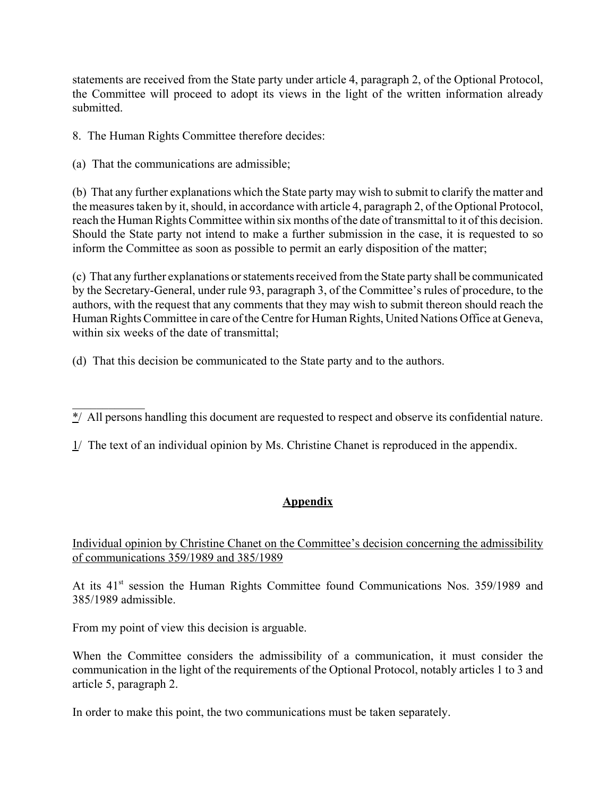statements are received from the State party under article 4, paragraph 2, of the Optional Protocol, the Committee will proceed to adopt its views in the light of the written information already submitted.

8. The Human Rights Committee therefore decides:

(a) That the communications are admissible;

(b) That any further explanations which the State party may wish to submit to clarify the matter and the measures taken by it, should, in accordance with article 4, paragraph 2, of the Optional Protocol, reach the Human Rights Committee within six months of the date of transmittal to it of this decision. Should the State party not intend to make a further submission in the case, it is requested to so inform the Committee as soon as possible to permit an early disposition of the matter;

(c) That any further explanations or statements received from the State party shall be communicated by the Secretary-General, under rule 93, paragraph 3, of the Committee's rules of procedure, to the authors, with the request that any comments that they may wish to submit thereon should reach the Human Rights Committee in care of the Centre for Human Rights, United Nations Office at Geneva, within six weeks of the date of transmittal;

(d) That this decision be communicated to the State party and to the authors.

# **Appendix**

Individual opinion by Christine Chanet on the Committee's decision concerning the admissibility of communications 359/1989 and 385/1989

At its 41<sup>st</sup> session the Human Rights Committee found Communications Nos. 359/1989 and 385/1989 admissible.

From my point of view this decision is arguable.

When the Committee considers the admissibility of a communication, it must consider the communication in the light of the requirements of the Optional Protocol, notably articles 1 to 3 and article 5, paragraph 2.

In order to make this point, the two communications must be taken separately.

 $\mathcal{L}_\text{max}$  $\overline{\ast}$ / All persons handling this document are requested to respect and observe its confidential nature.

 $1/$  The text of an individual opinion by Ms. Christine Chanet is reproduced in the appendix.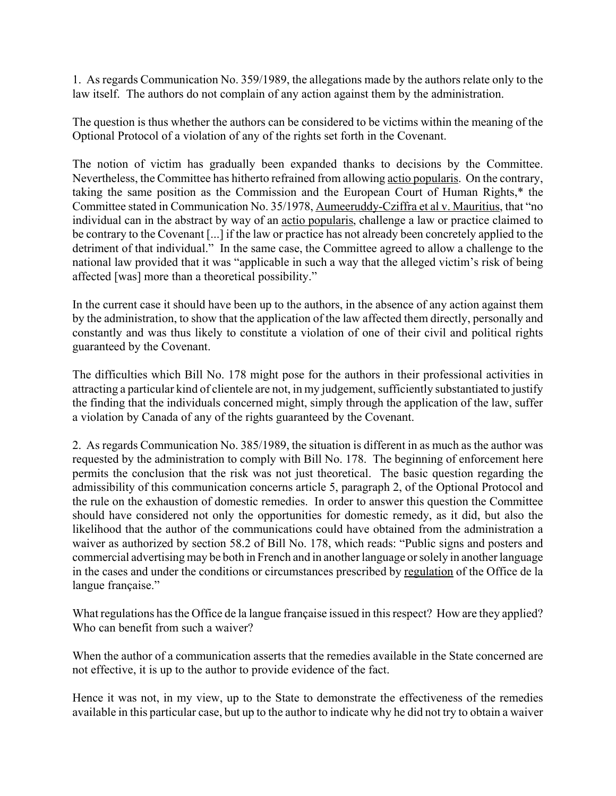1. As regards Communication No. 359/1989, the allegations made by the authors relate only to the law itself. The authors do not complain of any action against them by the administration.

The question is thus whether the authors can be considered to be victims within the meaning of the Optional Protocol of a violation of any of the rights set forth in the Covenant.

The notion of victim has gradually been expanded thanks to decisions by the Committee. Nevertheless, the Committee has hitherto refrained from allowing actio popularis. On the contrary, taking the same position as the Commission and the European Court of Human Rights,\* the Committee stated in Communication No. 35/1978, Aumeeruddy-Cziffra et al v. Mauritius, that "no individual can in the abstract by way of an actio popularis, challenge a law or practice claimed to be contrary to the Covenant [...] if the law or practice has not already been concretely applied to the detriment of that individual." In the same case, the Committee agreed to allow a challenge to the national law provided that it was "applicable in such a way that the alleged victim's risk of being affected [was] more than a theoretical possibility."

In the current case it should have been up to the authors, in the absence of any action against them by the administration, to show that the application of the law affected them directly, personally and constantly and was thus likely to constitute a violation of one of their civil and political rights guaranteed by the Covenant.

The difficulties which Bill No. 178 might pose for the authors in their professional activities in attracting a particular kind of clientele are not, in my judgement, sufficiently substantiated to justify the finding that the individuals concerned might, simply through the application of the law, suffer a violation by Canada of any of the rights guaranteed by the Covenant.

2. As regards Communication No. 385/1989, the situation is different in as much as the author was requested by the administration to comply with Bill No. 178. The beginning of enforcement here permits the conclusion that the risk was not just theoretical. The basic question regarding the admissibility of this communication concerns article 5, paragraph 2, of the Optional Protocol and the rule on the exhaustion of domestic remedies. In order to answer this question the Committee should have considered not only the opportunities for domestic remedy, as it did, but also the likelihood that the author of the communications could have obtained from the administration a waiver as authorized by section 58.2 of Bill No. 178, which reads: "Public signs and posters and commercial advertising may be both in French and in another language or solely in another language in the cases and under the conditions or circumstances prescribed by regulation of the Office de la langue française."

What regulations has the Office de la langue française issued in this respect? How are they applied? Who can benefit from such a waiver?

When the author of a communication asserts that the remedies available in the State concerned are not effective, it is up to the author to provide evidence of the fact.

Hence it was not, in my view, up to the State to demonstrate the effectiveness of the remedies available in this particular case, but up to the author to indicate why he did not try to obtain a waiver